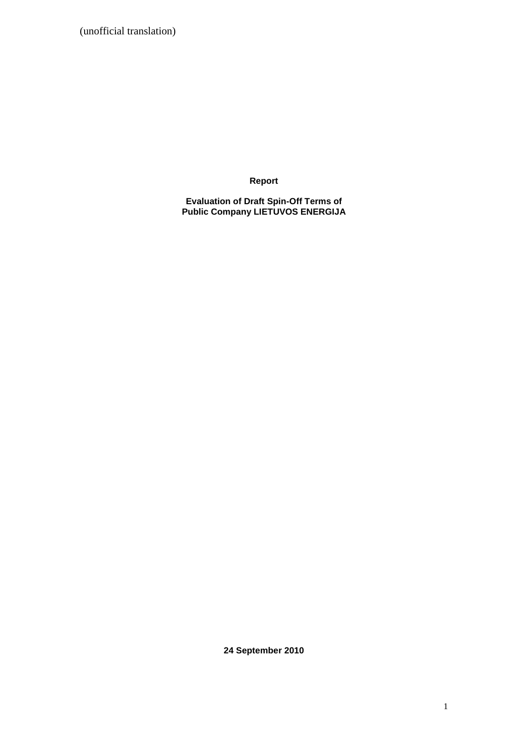(unofficial translation)

**Report**

**Evaluation of Draft Spin-Off Terms of Public Company LIETUVOS ENERGIJA** 

**24 September 2010**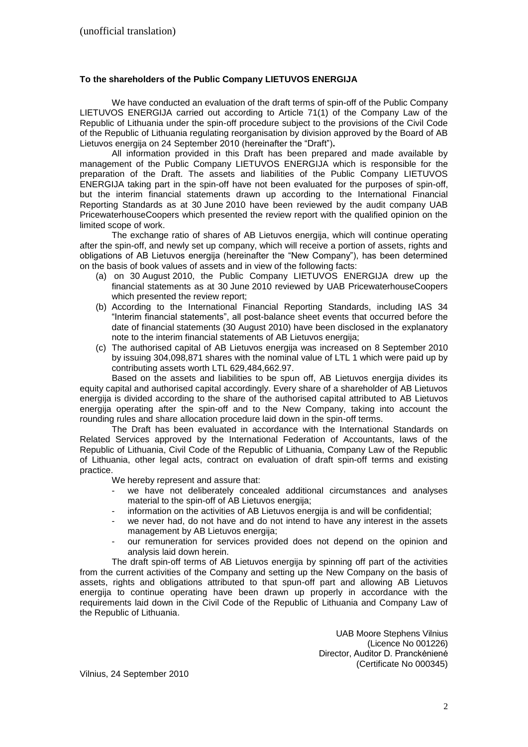## **To the shareholders of the Public Company LIETUVOS ENERGIJA**

We have conducted an evaluation of the draft terms of spin-off of the Public Company LIETUVOS ENERGIJA carried out according to Article 71(1) of the Company Law of the Republic of Lithuania under the spin-off procedure subject to the provisions of the Civil Code of the Republic of Lithuania regulating reorganisation by division approved by the Board of AB Lietuvos energija on 24 September 2010 (hereinafter the "Draft")**.** 

All information provided in this Draft has been prepared and made available by management of the Public Company LIETUVOS ENERGIJA which is responsible for the preparation of the Draft. The assets and liabilities of the Public Company LIETUVOS ENERGIJA taking part in the spin-off have not been evaluated for the purposes of spin-off, but the interim financial statements drawn up according to the International Financial Reporting Standards as at 30 June 2010 have been reviewed by the audit company UAB PricewaterhouseCoopers which presented the review report with the qualified opinion on the limited scope of work.

The exchange ratio of shares of AB Lietuvos energija, which will continue operating after the spin-off, and newly set up company, which will receive a portion of assets, rights and obligations of AB Lietuvos energija (hereinafter the "New Company"), has been determined on the basis of book values of assets and in view of the following facts:

- (a) on 30 August 2010, the Public Company LIETUVOS ENERGIJA drew up the financial statements as at 30 June 2010 reviewed by UAB PricewaterhouseCoopers which presented the review report;
- (b) According to the International Financial Reporting Standards, including IAS 34 "Interim financial statements", all post-balance sheet events that occurred before the date of financial statements (30 August 2010) have been disclosed in the explanatory note to the interim financial statements of AB Lietuvos energija;
- (c) The authorised capital of AB Lietuvos energija was increased on 8 September 2010 by issuing 304,098,871 shares with the nominal value of LTL 1 which were paid up by contributing assets worth LTL 629,484,662.97.

Based on the assets and liabilities to be spun off, AB Lietuvos energija divides its equity capital and authorised capital accordingly. Every share of a shareholder of AB Lietuvos energija is divided according to the share of the authorised capital attributed to AB Lietuvos energija operating after the spin-off and to the New Company, taking into account the rounding rules and share allocation procedure laid down in the spin-off terms.

The Draft has been evaluated in accordance with the International Standards on Related Services approved by the International Federation of Accountants, laws of the Republic of Lithuania, Civil Code of the Republic of Lithuania, Company Law of the Republic of Lithuania, other legal acts, contract on evaluation of draft spin-off terms and existing practice.

We hereby represent and assure that:

- we have not deliberately concealed additional circumstances and analyses material to the spin-off of AB Lietuvos energija;
- information on the activities of AB Lietuvos energija is and will be confidential;
- we never had, do not have and do not intend to have any interest in the assets management by AB Lietuvos energija;
- our remuneration for services provided does not depend on the opinion and analysis laid down herein.

The draft spin-off terms of AB Lietuvos energija by spinning off part of the activities from the current activities of the Company and setting up the New Company on the basis of assets, rights and obligations attributed to that spun-off part and allowing AB Lietuvos energija to continue operating have been drawn up properly in accordance with the requirements laid down in the Civil Code of the Republic of Lithuania and Company Law of the Republic of Lithuania.

> UAB Moore Stephens Vilnius (Licence No 001226) Director, Auditor D. Pranckėnienė (Certificate No 000345)

Vilnius, 24 September 2010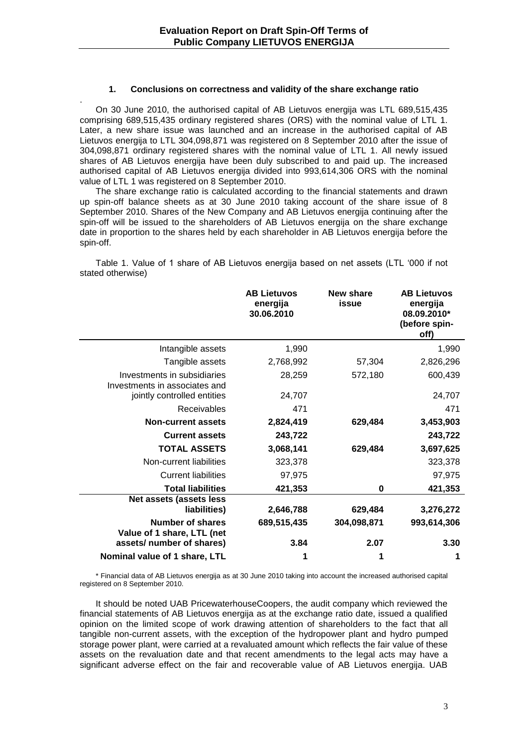#### **1. Conclusions on correctness and validity of the share exchange ratio**

. On 30 June 2010, the authorised capital of AB Lietuvos energija was LTL 689,515,435 comprising 689,515,435 ordinary registered shares (ORS) with the nominal value of LTL 1. Later, a new share issue was launched and an increase in the authorised capital of AB Lietuvos energija to LTL 304,098,871 was registered on 8 September 2010 after the issue of 304,098,871 ordinary registered shares with the nominal value of LTL 1. All newly issued shares of AB Lietuvos energija have been duly subscribed to and paid up. The increased authorised capital of AB Lietuvos energija divided into 993,614,306 ORS with the nominal value of LTL 1 was registered on 8 September 2010.

The share exchange ratio is calculated according to the financial statements and drawn up spin-off balance sheets as at 30 June 2010 taking account of the share issue of 8 September 2010. Shares of the New Company and AB Lietuvos energija continuing after the spin-off will be issued to the shareholders of AB Lietuvos energija on the share exchange date in proportion to the shares held by each shareholder in AB Lietuvos energija before the spin-off.

Table 1. Value of 1 share of AB Lietuvos energija based on net assets (LTL "000 if not stated otherwise)

|                                                              | <b>AB Lietuvos</b><br>energija<br>30.06.2010 | New share<br>issue | <b>AB Lietuvos</b><br>energija<br>08.09.2010*<br>(before spin-<br>off) |
|--------------------------------------------------------------|----------------------------------------------|--------------------|------------------------------------------------------------------------|
| Intangible assets                                            | 1,990                                        |                    | 1,990                                                                  |
| Tangible assets                                              | 2,768,992                                    | 57,304             | 2,826,296                                                              |
| Investments in subsidiaries<br>Investments in associates and | 28,259                                       | 572,180            | 600,439                                                                |
| jointly controlled entities                                  | 24,707                                       |                    | 24,707                                                                 |
| <b>Receivables</b>                                           | 471                                          |                    | 471                                                                    |
| <b>Non-current assets</b>                                    | 2,824,419                                    | 629,484            | 3,453,903                                                              |
| <b>Current assets</b>                                        | 243,722                                      |                    | 243,722                                                                |
| <b>TOTAL ASSETS</b>                                          | 3,068,141                                    | 629,484            | 3,697,625                                                              |
| Non-current liabilities                                      | 323,378                                      |                    | 323,378                                                                |
| <b>Current liabilities</b>                                   | 97,975                                       |                    | 97,975                                                                 |
| <b>Total liabilities</b>                                     | 421,353                                      | 0                  | 421,353                                                                |
| <b>Net assets (assets less</b><br>liabilities)               | 2,646,788                                    | 629,484            | 3,276,272                                                              |
| <b>Number of shares</b><br>Value of 1 share, LTL (net        | 689,515,435                                  | 304,098,871        | 993,614,306                                                            |
| assets/ number of shares)                                    | 3.84                                         | 2.07               | 3.30                                                                   |
| Nominal value of 1 share, LTL                                | 1                                            | 1                  | 1                                                                      |

\* Financial data of AB Lietuvos energija as at 30 June 2010 taking into account the increased authorised capital registered on 8 September 2010.

It should be noted UAB PricewaterhouseCoopers, the audit company which reviewed the financial statements of AB Lietuvos energija as at the exchange ratio date, issued a qualified opinion on the limited scope of work drawing attention of shareholders to the fact that all tangible non-current assets, with the exception of the hydropower plant and hydro pumped storage power plant, were carried at a revaluated amount which reflects the fair value of these assets on the revaluation date and that recent amendments to the legal acts may have a significant adverse effect on the fair and recoverable value of AB Lietuvos energija. UAB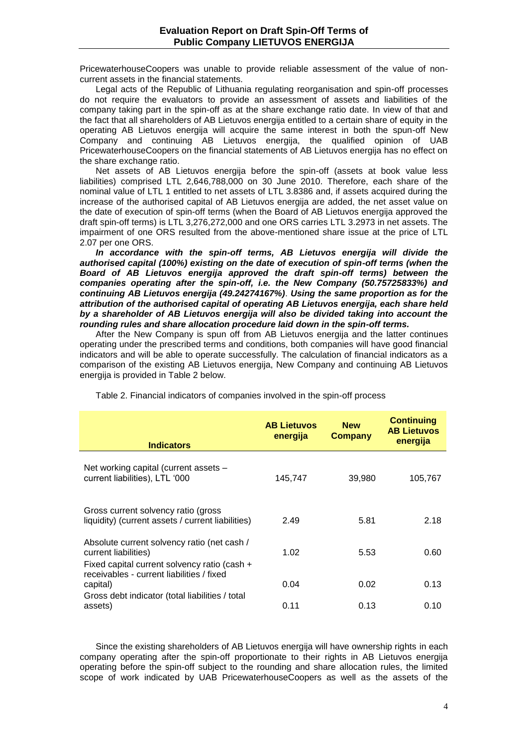PricewaterhouseCoopers was unable to provide reliable assessment of the value of noncurrent assets in the financial statements.

Legal acts of the Republic of Lithuania regulating reorganisation and spin-off processes do not require the evaluators to provide an assessment of assets and liabilities of the company taking part in the spin-off as at the share exchange ratio date. In view of that and the fact that all shareholders of AB Lietuvos energija entitled to a certain share of equity in the operating AB Lietuvos energija will acquire the same interest in both the spun-off New Company and continuing AB Lietuvos energija, the qualified opinion of UAB PricewaterhouseCoopers on the financial statements of AB Lietuvos energija has no effect on the share exchange ratio.

Net assets of AB Lietuvos energija before the spin-off (assets at book value less liabilities) comprised LTL 2,646,788,000 on 30 June 2010. Therefore, each share of the nominal value of LTL 1 entitled to net assets of LTL 3.8386 and, if assets acquired during the increase of the authorised capital of AB Lietuvos energija are added, the net asset value on the date of execution of spin-off terms (when the Board of AB Lietuvos energija approved the draft spin-off terms) is LTL 3,276,272,000 and one ORS carries LTL 3.2973 in net assets. The impairment of one ORS resulted from the above-mentioned share issue at the price of LTL 2.07 per one ORS.

In accordance with the spin-off terms, AB Lietuvos energija will divide the *authorised capital (100%) existing on the date of execution of spin-off terms (when the Board of AB Lietuvos energija approved the draft spin-off terms) between the companies operating after the spin-off, i.e. the New Company (50.75725833%) and continuing AB Lietuvos energija (49.24274167%)*. *Using the same proportion as for the attribution of the authorised capital of operating AB Lietuvos energija, each share held by a shareholder of AB Lietuvos energija will also be divided taking into account the rounding rules and share allocation procedure laid down in the spin-off terms.* 

After the New Company is spun off from AB Lietuvos energija and the latter continues operating under the prescribed terms and conditions, both companies will have good financial indicators and will be able to operate successfully. The calculation of financial indicators as a comparison of the existing AB Lietuvos energija, New Company and continuing AB Lietuvos energija is provided in Table 2 below.

| <b>Indicators</b>                                                                                                   | <b>AB Lietuvos</b><br>energija | <b>New</b><br><b>Company</b> | <b>Continuing</b><br><b>AB Lietuvos</b><br>energija |
|---------------------------------------------------------------------------------------------------------------------|--------------------------------|------------------------------|-----------------------------------------------------|
| Net working capital (current assets -<br>current liabilities), LTL '000                                             | 145.747                        | 39,980                       | 105,767                                             |
| Gross current solvency ratio (gross<br>liquidity) (current assets / current liabilities)                            | 2.49                           | 5.81                         | 2.18                                                |
| Absolute current solvency ratio (net cash /<br>current liabilities)<br>Fixed capital current solvency ratio (cash + | 1.02                           | 5.53                         | 0.60                                                |
| receivables - current liabilities / fixed<br>capital)<br>Gross debt indicator (total liabilities / total            | 0.04                           | 0.02                         | 0.13                                                |
| assets)                                                                                                             | 0.11                           | 0.13                         | 0.10                                                |

Table 2. Financial indicators of companies involved in the spin-off process

Since the existing shareholders of AB Lietuvos energija will have ownership rights in each company operating after the spin-off proportionate to their rights in AB Lietuvos energija operating before the spin-off subject to the rounding and share allocation rules, the limited scope of work indicated by UAB PricewaterhouseCoopers as well as the assets of the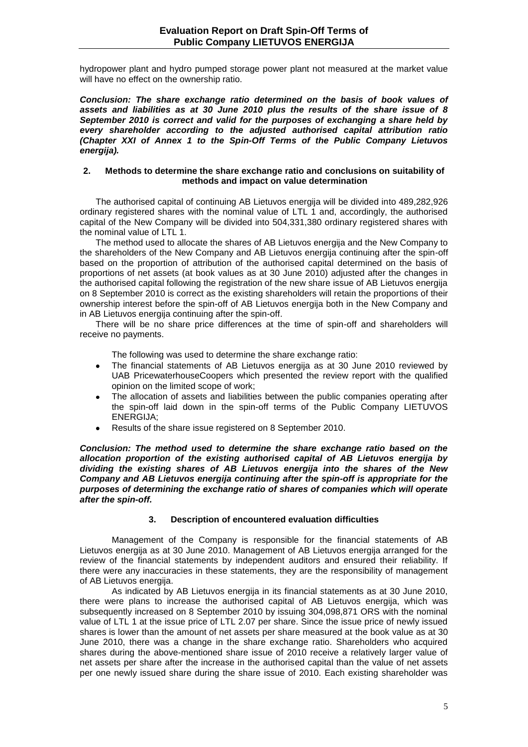hydropower plant and hydro pumped storage power plant not measured at the market value will have no effect on the ownership ratio.

*Conclusion: The share exchange ratio determined on the basis of book values of assets and liabilities as at 30 June 2010 plus the results of the share issue of 8 September 2010 is correct and valid for the purposes of exchanging a share held by every shareholder according to the adjusted authorised capital attribution ratio (Chapter XXI of Annex 1 to the Spin-Off Terms of the Public Company Lietuvos energija).* 

#### **2. Methods to determine the share exchange ratio and conclusions on suitability of methods and impact on value determination**

The authorised capital of continuing AB Lietuvos energija will be divided into 489,282,926 ordinary registered shares with the nominal value of LTL 1 and, accordingly, the authorised capital of the New Company will be divided into 504,331,380 ordinary registered shares with the nominal value of LTL 1.

The method used to allocate the shares of AB Lietuvos energija and the New Company to the shareholders of the New Company and AB Lietuvos energija continuing after the spin-off based on the proportion of attribution of the authorised capital determined on the basis of proportions of net assets (at book values as at 30 June 2010) adjusted after the changes in the authorised capital following the registration of the new share issue of AB Lietuvos energija on 8 September 2010 is correct as the existing shareholders will retain the proportions of their ownership interest before the spin-off of AB Lietuvos energija both in the New Company and in AB Lietuvos energija continuing after the spin-off.

There will be no share price differences at the time of spin-off and shareholders will receive no payments.

The following was used to determine the share exchange ratio:

- The financial statements of AB Lietuvos energija as at 30 June 2010 reviewed by UAB PricewaterhouseCoopers which presented the review report with the qualified opinion on the limited scope of work;
- The allocation of assets and liabilities between the public companies operating after the spin-off laid down in the spin-off terms of the Public Company LIETUVOS ENERGIJA;
- Results of the share issue registered on 8 September 2010.

*Conclusion: The method used to determine the share exchange ratio based on the allocation proportion of the existing authorised capital of AB Lietuvos energija by dividing the existing shares of AB Lietuvos energija into the shares of the New Company and AB Lietuvos energija continuing after the spin-off is appropriate for the purposes of determining the exchange ratio of shares of companies which will operate after the spin-off.*

# **3. Description of encountered evaluation difficulties**

Management of the Company is responsible for the financial statements of AB Lietuvos energija as at 30 June 2010. Management of AB Lietuvos energija arranged for the review of the financial statements by independent auditors and ensured their reliability. If there were any inaccuracies in these statements, they are the responsibility of management of AB Lietuvos energija.

As indicated by AB Lietuvos energija in its financial statements as at 30 June 2010, there were plans to increase the authorised capital of AB Lietuvos energija, which was subsequently increased on 8 September 2010 by issuing 304,098,871 ORS with the nominal value of LTL 1 at the issue price of LTL 2.07 per share. Since the issue price of newly issued shares is lower than the amount of net assets per share measured at the book value as at 30 June 2010, there was a change in the share exchange ratio. Shareholders who acquired shares during the above-mentioned share issue of 2010 receive a relatively larger value of net assets per share after the increase in the authorised capital than the value of net assets per one newly issued share during the share issue of 2010. Each existing shareholder was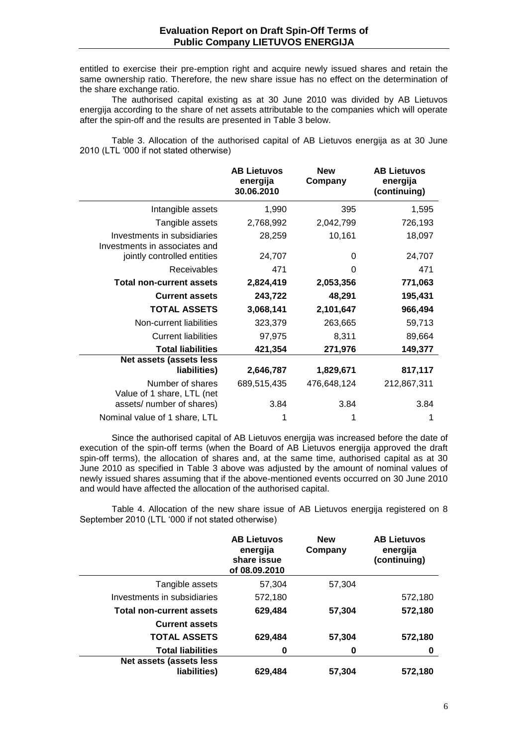entitled to exercise their pre-emption right and acquire newly issued shares and retain the same ownership ratio. Therefore, the new share issue has no effect on the determination of the share exchange ratio.

The authorised capital existing as at 30 June 2010 was divided by AB Lietuvos energija according to the share of net assets attributable to the companies which will operate after the spin-off and the results are presented in Table 3 below.

Table 3. Allocation of the authorised capital of AB Lietuvos energija as at 30 June 2010 (LTL "000 if not stated otherwise)

|                                                              | <b>AB Lietuvos</b><br>energija<br>30.06.2010 | <b>New</b><br>Company | <b>AB Lietuvos</b><br>energija<br>(continuing) |
|--------------------------------------------------------------|----------------------------------------------|-----------------------|------------------------------------------------|
| Intangible assets                                            | 1,990                                        | 395                   | 1,595                                          |
| Tangible assets                                              | 2,768,992                                    | 2,042,799             | 726,193                                        |
| Investments in subsidiaries<br>Investments in associates and | 28,259                                       | 10,161                | 18,097                                         |
| jointly controlled entities                                  | 24,707                                       | 0                     | 24,707                                         |
| Receivables                                                  | 471                                          | 0                     | 471                                            |
| <b>Total non-current assets</b>                              | 2,824,419                                    | 2,053,356             | 771,063                                        |
| <b>Current assets</b>                                        | 243,722                                      | 48,291                | 195,431                                        |
| <b>TOTAL ASSETS</b>                                          | 3,068,141                                    | 2,101,647             | 966,494                                        |
| Non-current liabilities                                      | 323,379                                      | 263,665               | 59,713                                         |
| <b>Current liabilities</b>                                   | 97,975                                       | 8,311                 | 89,664                                         |
| <b>Total liabilities</b>                                     | 421,354                                      | 271,976               | 149,377                                        |
| Net assets (assets less<br>liabilities)                      | 2,646,787                                    | 1,829,671             | 817,117                                        |
| Number of shares<br>Value of 1 share, LTL (net               | 689,515,435                                  | 476,648,124           | 212,867,311                                    |
| assets/ number of shares)                                    | 3.84                                         | 3.84                  | 3.84                                           |
| Nominal value of 1 share, LTL                                |                                              | 1                     |                                                |

Since the authorised capital of AB Lietuvos energija was increased before the date of execution of the spin-off terms (when the Board of AB Lietuvos energija approved the draft spin-off terms), the allocation of shares and, at the same time, authorised capital as at 30 June 2010 as specified in Table 3 above was adjusted by the amount of nominal values of newly issued shares assuming that if the above-mentioned events occurred on 30 June 2010 and would have affected the allocation of the authorised capital.

Table 4. Allocation of the new share issue of AB Lietuvos energija registered on 8 September 2010 (LTL "000 if not stated otherwise)

|                                         | <b>AB Lietuvos</b><br>energija<br>share issue<br>of 08.09.2010 | <b>New</b><br>Company | <b>AB Lietuvos</b><br>energija<br>(continuing) |
|-----------------------------------------|----------------------------------------------------------------|-----------------------|------------------------------------------------|
| Tangible assets                         | 57,304                                                         | 57,304                |                                                |
| Investments in subsidiaries             | 572,180                                                        |                       | 572,180                                        |
| <b>Total non-current assets</b>         | 629,484                                                        | 57,304                | 572,180                                        |
| <b>Current assets</b>                   |                                                                |                       |                                                |
| <b>TOTAL ASSETS</b>                     | 629,484                                                        | 57,304                | 572,180                                        |
| <b>Total liabilities</b>                | 0                                                              | 0                     | 0                                              |
| Net assets (assets less<br>liabilities) | 629,484                                                        | 57,304                | 572,180                                        |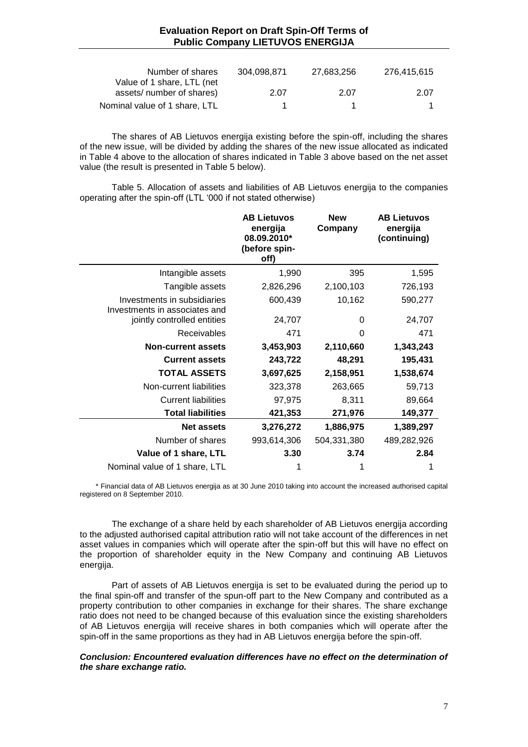| Number of shares                                        | 304.098.871 | 27,683,256 | 276,415,615 |
|---------------------------------------------------------|-------------|------------|-------------|
| Value of 1 share, LTL (net<br>assets/ number of shares) | 2.07        | 2.07       | 2.07        |
| Nominal value of 1 share, LTL                           |             |            |             |

The shares of AB Lietuvos energija existing before the spin-off, including the shares of the new issue, will be divided by adding the shares of the new issue allocated as indicated in Table 4 above to the allocation of shares indicated in Table 3 above based on the net asset value (the result is presented in Table 5 below).

Table 5. Allocation of assets and liabilities of AB Lietuvos energija to the companies operating after the spin-off (LTL "000 if not stated otherwise)

|                                                              | <b>AB Lietuvos</b><br>energija<br>08.09.2010*<br>(before spin-<br>off) | <b>New</b><br>Company | <b>AB Lietuvos</b><br>energija<br>(continuing) |
|--------------------------------------------------------------|------------------------------------------------------------------------|-----------------------|------------------------------------------------|
| Intangible assets                                            | 1,990                                                                  | 395                   | 1,595                                          |
| Tangible assets                                              | 2,826,296                                                              | 2,100,103             | 726,193                                        |
| Investments in subsidiaries<br>Investments in associates and | 600,439                                                                | 10,162                | 590,277                                        |
| jointly controlled entities                                  | 24,707                                                                 | 0                     | 24,707                                         |
| <b>Receivables</b>                                           | 471                                                                    | $\Omega$              | 471                                            |
| <b>Non-current assets</b>                                    | 3,453,903                                                              | 2,110,660             | 1,343,243                                      |
| <b>Current assets</b>                                        | 243,722                                                                | 48,291                | 195,431                                        |
| <b>TOTAL ASSETS</b>                                          | 3,697,625                                                              | 2,158,951             | 1,538,674                                      |
| Non-current liabilities                                      | 323,378                                                                | 263,665               | 59,713                                         |
| <b>Current liabilities</b>                                   | 97,975                                                                 | 8,311                 | 89,664                                         |
| <b>Total liabilities</b>                                     | 421,353                                                                | 271,976               | 149,377                                        |
| <b>Net assets</b>                                            | 3,276,272                                                              | 1,886,975             | 1,389,297                                      |
| Number of shares                                             | 993,614,306                                                            | 504,331,380           | 489,282,926                                    |
| Value of 1 share, LTL                                        | 3.30                                                                   | 3.74                  | 2.84                                           |
| Nominal value of 1 share, LTL                                | 1                                                                      |                       | 1                                              |

\* Financial data of AB Lietuvos energija as at 30 June 2010 taking into account the increased authorised capital registered on 8 September 2010.

The exchange of a share held by each shareholder of AB Lietuvos energija according to the adjusted authorised capital attribution ratio will not take account of the differences in net asset values in companies which will operate after the spin-off but this will have no effect on the proportion of shareholder equity in the New Company and continuing AB Lietuvos energija.

Part of assets of AB Lietuvos energija is set to be evaluated during the period up to the final spin-off and transfer of the spun-off part to the New Company and contributed as a property contribution to other companies in exchange for their shares. The share exchange ratio does not need to be changed because of this evaluation since the existing shareholders of AB Lietuvos energija will receive shares in both companies which will operate after the spin-off in the same proportions as they had in AB Lietuvos energija before the spin-off.

#### *Conclusion: Encountered evaluation differences have no effect on the determination of the share exchange ratio.*